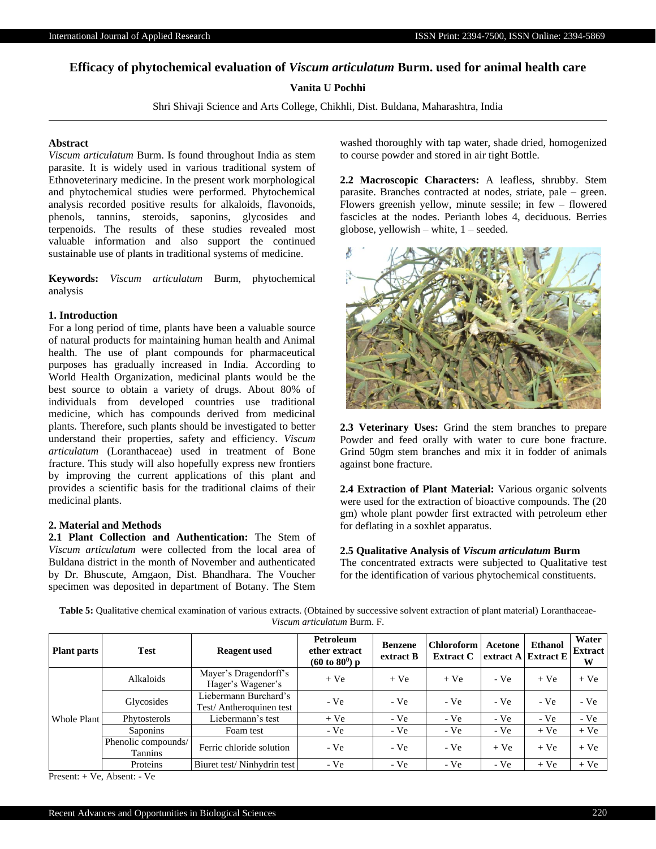# **Efficacy of phytochemical evaluation of** *Viscum articulatum* **Burm. used for animal health care**

# **Vanita U Pochhi**

Shri Shivaji Science and Arts College, Chikhli, Dist. Buldana, Maharashtra, India

## **Abstract**

*Viscum articulatum* Burm. Is found throughout India as stem parasite. It is widely used in various traditional system of Ethnoveterinary medicine. In the present work morphological and phytochemical studies were performed. Phytochemical analysis recorded positive results for alkaloids, flavonoids, phenols, tannins, steroids, saponins, glycosides and terpenoids. The results of these studies revealed most valuable information and also support the continued sustainable use of plants in traditional systems of medicine.

**Keywords:** *Viscum articulatum* Burm, phytochemical analysis

### **1. Introduction**

For a long period of time, plants have been a valuable source of natural products for maintaining human health and Animal health. The use of plant compounds for pharmaceutical purposes has gradually increased in India. According to World Health Organization, medicinal plants would be the best source to obtain a variety of drugs. About 80% of individuals from developed countries use traditional medicine, which has compounds derived from medicinal plants. Therefore, such plants should be investigated to better understand their properties, safety and efficiency. *Viscum articulatum* (Loranthaceae) used in treatment of Bone fracture. This study will also hopefully express new frontiers by improving the current applications of this plant and provides a scientific basis for the traditional claims of their medicinal plants.

## **2. Material and Methods**

**2.1 Plant Collection and Authentication:** The Stem of *Viscum articulatum* were collected from the local area of Buldana district in the month of November and authenticated by Dr. Bhuscute, Amgaon, Dist. Bhandhara. The Voucher specimen was deposited in department of Botany. The Stem washed thoroughly with tap water, shade dried, homogenized to course powder and stored in air tight Bottle.

**2.2 Macroscopic Characters:** A leafless, shrubby. Stem parasite. Branches contracted at nodes, striate, pale – green. Flowers greenish yellow, minute sessile; in few – flowered fascicles at the nodes. Perianth lobes 4, deciduous. Berries globose, yellowish – white, 1 – seeded.



**2.3 Veterinary Uses:** Grind the stem branches to prepare Powder and feed orally with water to cure bone fracture. Grind 50gm stem branches and mix it in fodder of animals against bone fracture.

**2.4 Extraction of Plant Material:** Various organic solvents were used for the extraction of bioactive compounds. The (20 gm) whole plant powder first extracted with petroleum ether for deflating in a soxhlet apparatus.

#### **2.5 Qualitative Analysis of** *Viscum articulatum* **Burm**

The concentrated extracts were subjected to Qualitative test for the identification of various phytochemical constituents.

| <b>Plant parts</b> | <b>Test</b>                    | <b>Reagent</b> used                              | Petroleum<br>ether extract<br>$(60 \text{ to } 80^0) \text{ p}$ | <b>Benzene</b><br>extract B | <b>Chloroform</b><br><b>Extract C</b> | Acetone | <b>Ethanol</b><br>extract $A$ Extract E | Water<br><b>Extract</b><br>W |
|--------------------|--------------------------------|--------------------------------------------------|-----------------------------------------------------------------|-----------------------------|---------------------------------------|---------|-----------------------------------------|------------------------------|
| Whole Plant        | Alkaloids                      | Mayer's Dragendorff's<br>Hager's Wagener's       | $+Ve$                                                           | $+Ve$                       | $+Ve$                                 | $-Ve$   | $+Ve$                                   | $+Ve$                        |
|                    | Glycosides                     | Liebermann Burchard's<br>Test/Antheroquinen test | $-Ve$                                                           | $-Ve$                       | $-Ve$                                 | $-Ve$   | $-Ve$                                   | $-Ve$                        |
|                    | Phytosterols                   | Liebermann's test                                | $+Ve$                                                           | $-Ve$                       | $-Ve$                                 | $-Ve$   | $-Ve$                                   | $-Ve$                        |
|                    | Saponins                       | Foam test                                        | $-Ve$                                                           | $-Ve$                       | $-Ve$                                 | $-Ve$   | $+Ve$                                   | $+Ve$                        |
|                    | Phenolic compounds/<br>Tannins | Ferric chloride solution                         | $-Ve$                                                           | - Ve                        | $-Ve$                                 | $+Ve$   | $+Ve$                                   | $+Ve$                        |
|                    | Proteins                       | Biuret test/Ninhydrin test                       | $-Ve$                                                           | - Ve                        | $-Ve$                                 | $-Ve$   | $+Ve$                                   | $+Ve$                        |

Table 5: Qualitative chemical examination of various extracts. (Obtained by successive solvent extraction of plant material) Loranthaceae-*Viscum articulatum* Burm. F.

Present: + Ve, Absent: - Ve